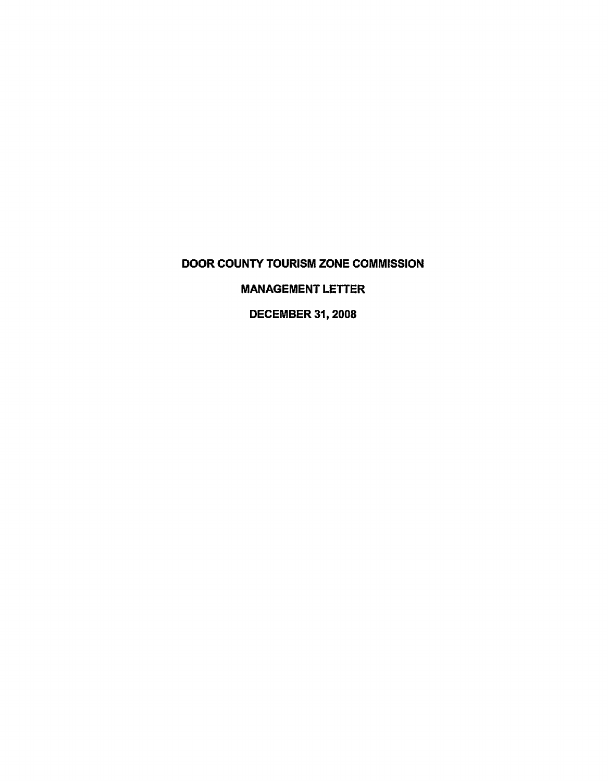DOOR COUNTY TOURISM ZONE COMMISSION

MANAGEMENT LETTER

DECEMBER 31, 2008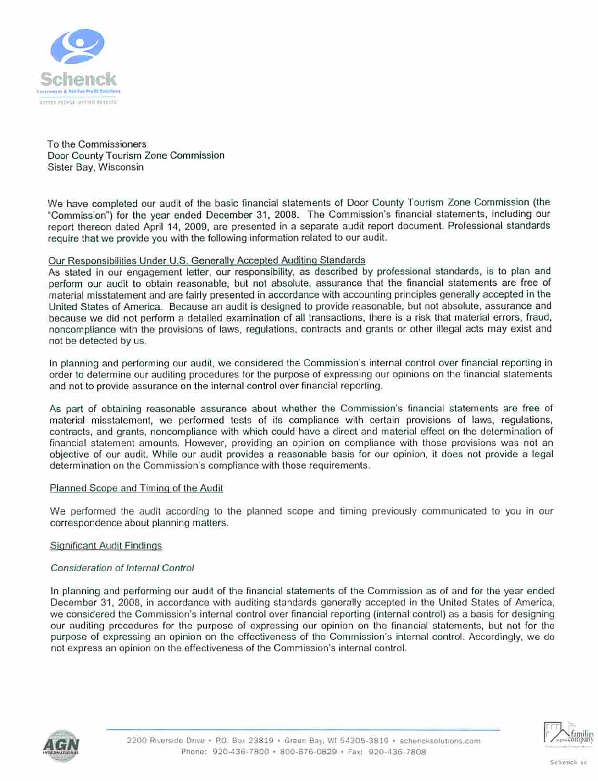

To the Commissioners Door County Tourism Zone Commission Sister Bay, Wisconsin

We have completed our audit of the basic financial statements of Door County Tourism Zone Commission (the "Commission") for the year ended December 31, 2008. The Commission's financial statements, including our report thereon dated April 14, 2009, are presented in a separate audit report document. Professional standards require that we provide you with the following information related to our audit.

# Our Responsibilities Under U.S. Generally Accepted Auditing Standards

As slated in our engagement letter, our responsibility, as described by professional standards, is to plan and perform our audit to obtain reasonable, but not absolute, assurance that the financial statements are free of material misstatement and are fairly presented in accordance with accounting principles generally accepted in the United States of America. Because an audit is designed to provide reasonable, but not absolute, assurance and because we did not perform a detailed examination of all transactions, there is a risk that material errors, fraud, noncompliance with (he provisions of laws, regulations, contracts and grants or other illegal acts may exist and not be detected by us.

In planning and performing our audit, we considered the Commission's internal control over financial reporting in order to determine our auditing procedures for the purpose of expressing our opinions on the financial statements and not to provide assurance on the internal control over financial reporting.

As part of obtaining reasonable assurance about whether the Commission's financial statements are free of material misstatement, we performed tests of its compliance with certain provisions of laws, regulations, contracts, and grants, noncompliance with which could have a direct and material effect on the determination of financial statement amounts. However, providing an opinion on compliance with those provisions was not an objective of our audit. While our audit provides a reasonable basis for our opinion, it does not provide a legal determination on the Commission's compliance with those requirements.

#### Planned Scope and Timing of the Audit

We performed the audit according to the planned scope and timing previously communicated to you in our correspondence about planning matters.

#### Significant Audit Findings

#### Consideration of Internal Control

In planning and performing our audit of the financial statements of the Commission as of and for the year ended December 31. 2008, in accordance with auditing standards generally accepted in the United States of America, we considered the Commission's internal control over financial reporting (internal control) as a basis for designing our auditing procedures for the purpose of expressing our opinion on the financial statements, but not lor the purpose of expressing an opinion on the effectiveness of the Commission's internal control. Accordingly, we do not express an opinion on the effectiveness of the Commission's internal control.



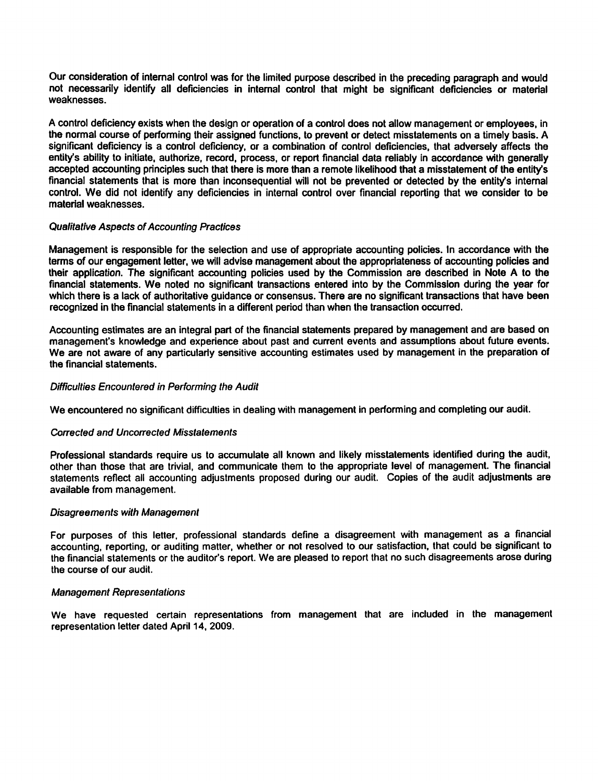Our consideration of internal control was for the limited purpose described in the preceding paragraph and would not necessarily identify all deficiencies in internal control that might be significant deficiencies or material weaknesses.

A control deficiency exists when the design or operation of a control does not allow management or employees, in the normal course of performing their assigned functions, to prevent or detect misstatements on a timely basis. A significant deficiency is a control deficiency, or a combination of control deficiencies, that adversely affects the entity's ability to initiate, authorize, record, process, or report financial data reliably in accordance with generally accepted accounting principles such that there is more than a remote likelihood that a misstatement of the entity's financial statements that is more than inconsequential will not be prevented or detected by the entity's internal control. We did not identify any deficiencies in internal control over financial reporting that we consider to be material weaknesses.

#### Qualitative Aspects of Accounting Practices

Management is responsible for the selection and use of appropriate accounting policies. In accordance with the terms of our engagement letter, we will advise management about the appropriateness of accounting policies and their application. The significant accounting policies used by the Commission are described in Note A to the financial statements. We noted no significant transactions entered into by the Commission during the year for which there is a lack of authoritative guidance or consensus. There are no significant transactions that have been recognized in the financial statements in a different period than when the transaction occurred.

Accounting estimates are an integral part of the financial statements prepared by management and are based on management's knowledge and experience about past and current events and assumptions about future events. We are not aware of any particularly sensitive accounting estimates used by management in the preparation of the financial statements.

# Difficulties Encountered in Performing the Audit

We encountered no significant difficulties in dealing with management in performing and completing our audit.

#### Corrected and Uncorrected Misstatements

Professional standards require us to accumulate all known and likely misstatements identified during the audit, other than those that are trivial, and communicate them to the appropriate level of management. The financial statements reflect all accounting adjustments proposed during our audit. Copies of the audit adjustments are available from management.

#### Disagreements with Management

For purposes of this letter, professional standards define a disagreement with management as a financial accounting, reporting, or auditing matter, whether or not resolved to our satisfaction, that could be significant to the financial statements or the auditor's report. We are pleased to report that no such disagreements arose during the course of our audit.

#### Management Representations

We have requested certain representations from management that are included in the management representation letter dated April 14, 2009.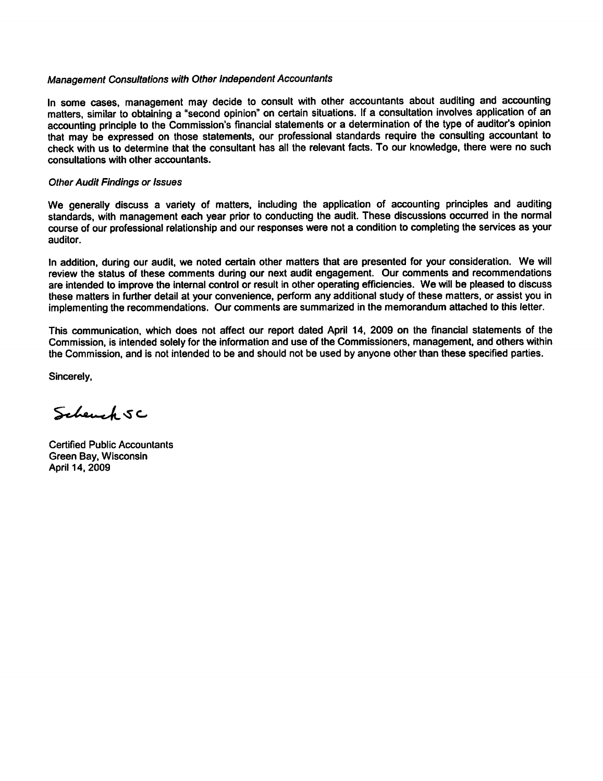#### Management Consultations with Other Independent Accountants

In some cases, management may decide to consult with other accountants about auditing and accounting matters, similar to obtaining a "second opinion" on certain situations. If a consultation involves application of an accounting principle to the Commission's financial statements or a determination of the type of auditor's opinion that may be expressed on those statements, our professional standards require the consulting accountant to check with us to determine that the consultant has all the relevant facts. To our knowledge, there were no such consultations with other accountants.

#### Other Audit Findings or Issues

We generally discuss a variety of matters, including the application of accounting principles and auditing standards, with management each year prior to conducting the audit. These discussions occurred in the normal course of our professional relationship and our responses were not a condition to completing the services as your auditor.

In addition, during our audit, we noted certain other matters that are presented for your consideration. We will review the status of these comments during our next audit engagement. Our comments and recommendations are intended to improve the internal control or result in other operating efficiencies. We will be pleased to discuss these matters in further detail at your convenience, perform any additional study of these matters, or assist you in implementing the recommendations. Our comments are summarized in the memorandum attached to this letter.

This communication, which does not affect our report dated April 14, 2009 on the financial statements of the Commission, is intended solely for the information and use of the Commissioners, management, and others within the Commission, and is not intended to be and should not be used by anyone other than these specified parties.

Sincerely,

Schench SC

Certified Public Accountants Green Bay, Wisconsin April 14,2009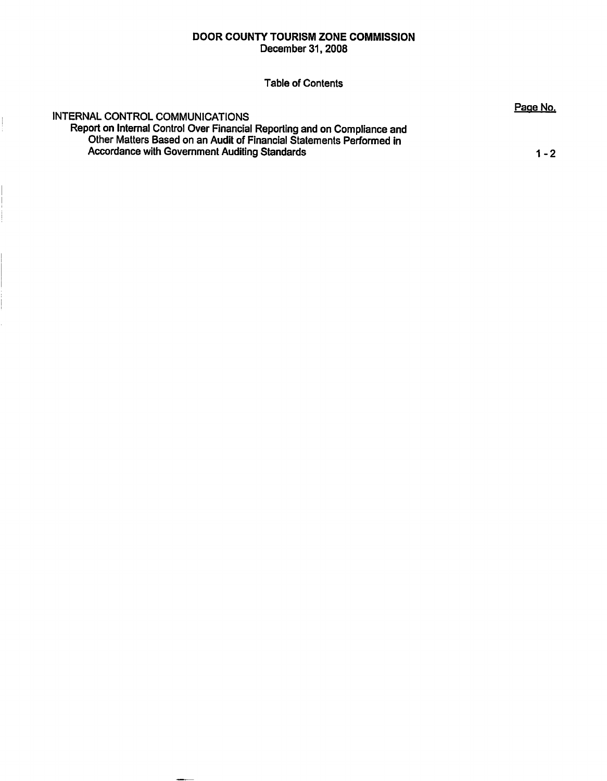# DOOR COUNTY TOURISM ZONE COMMISSION

December 31,2008

Table of Contents

# INTERNAL CONTROL COMMUNICATIONS

Report on Internal Control Over Financial Reporting and on Compliance and Other Matters Based on an Audit of Financial Statements Performed in Accordance with Government Auditing Standards 1996 1997 1997 1998 12:00 12:00 12:00 12:00 12:00 12:00 12:00 12

Page No.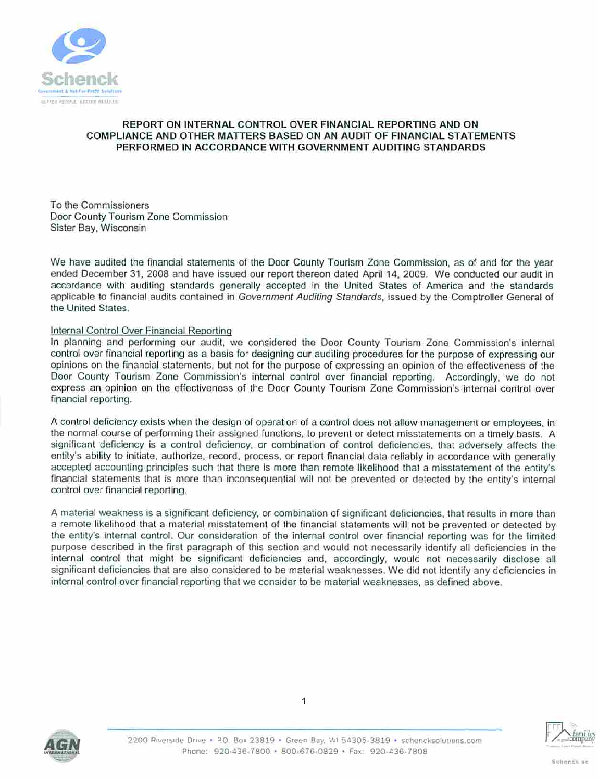

# REPORT ON INTERNAL CONTROL OVER FINANCIAL REPORTING AND ON COMPLIANCE AND OTHER MATTERS BASED ON AN AUDIT OF FINANCIAL STATEMENTS PERFORMED IN ACCORDANCE WITH GOVERNMENT AUDITING STANDARDS

To the Commissioners Door County Tourism Zone Commission Sister Bay, Wisconsin

We have audited the financial statements of the Door County Tourism Zone Commission, as of and for the year ended December 31, 2008 and have issued our report thereon dated April 14, 2009. We conducted our audit in accordance with auditing standards generally accepted in the United Stales of America and the standards applicable to financial audits contained in Government Auditing Standards, issued by the Comptroller General of the United States.

# Internal Control Over Financial Reporting

In planning and performing our audit, we considered the Door County Tourism Zone Commission's internal control over financial reporting as a basis for designing our auditing procedures for the purpose of expressing our opinions on the financial statements, bul not for the purpose of expressing an opinion of the effectiveness of the Door County Tourism Zone Commission's internal control over financial reporting. Accordingly, we do not express an opinion on the effectiveness of the Door County Tourism Zone Commission's internal control over financial reporting.

A control deficiency exists when the design of operation of a control does not allow management or employees, in the normal course of performing their assigned functions, to prevent or detect misstatements on a timely basis. A significant deficiency is a control deficiency, or combination of control deficiencies, that adversely affects the enlity's ability to initiale, authorize, record, process, or report financial data reliably in accordance with generally accepted accounting principles such that there is more than remote likelihood that a misstatement of the entity's financial statements thai is more than inconsequential will not be prevented or detected by the entity's internal conlrol over financial reporting.

A material weakness is a significant deficiency, or combination of significant deficiencies, that results in more than a remote likelihood that a material misstatement of the financial statements will not be prevented or detected by the entity's internal control. Our consideration of the internal control over financial reporting was for the limited purpose described in the first paragraph of this section and would not necessarily identify all deficiencies in the internal control that might be significant deficiencies and, accordingly, would not necessarily disclose all significant deficiencies that are also considered to be material weaknesses. We did not identify any deficiencies in internal control over financial reporting that we consider to be material weaknesses, as defined above.





1